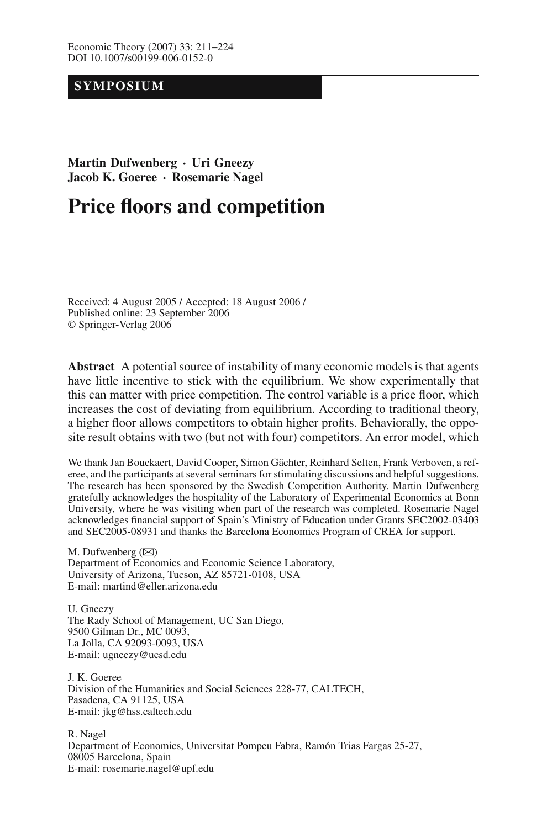## **SYMPOSIUM**

## **Martin Dufwenberg · Uri Gneezy Jacob K. Goeree · Rosemarie Nagel**

# **Price floors and competition**

Received: 4 August 2005 / Accepted: 18 August 2006 / Published online: 23 September 2006 © Springer-Verlag 2006

**Abstract** A potential source of instability of many economic models is that agents have little incentive to stick with the equilibrium. We show experimentally that this can matter with price competition. The control variable is a price floor, which increases the cost of deviating from equilibrium. According to traditional theory, a higher floor allows competitors to obtain higher profits. Behaviorally, the opposite result obtains with two (but not with four) competitors. An error model, which

We thank Jan Bouckaert, David Cooper, Simon Gächter, Reinhard Selten, Frank Verboven, a referee, and the participants at several seminars for stimulating discussions and helpful suggestions. The research has been sponsored by the Swedish Competition Authority. Martin Dufwenberg gratefully acknowledges the hospitality of the Laboratory of Experimental Economics at Bonn University, where he was visiting when part of the research was completed. Rosemarie Nagel acknowledges financial support of Spain's Ministry of Education under Grants SEC2002-03403 and SEC2005-08931 and thanks the Barcelona Economics Program of CREA for support.

M. Dufwenberg  $(\boxtimes)$ Department of Economics and Economic Science Laboratory, University of Arizona, Tucson, AZ 85721-0108, USA E-mail: martind@eller.arizona.edu

U. Gneezy The Rady School of Management, UC San Diego, 9500 Gilman Dr., MC 0093, La Jolla, CA 92093-0093, USA E-mail: ugneezy@ucsd.edu

J. K. Goeree Division of the Humanities and Social Sciences 228-77, CALTECH, Pasadena, CA 91125, USA E-mail: jkg@hss.caltech.edu

R. Nagel Department of Economics, Universitat Pompeu Fabra, Ramón Trias Fargas 25-27, 08005 Barcelona, Spain E-mail: rosemarie.nagel@upf.edu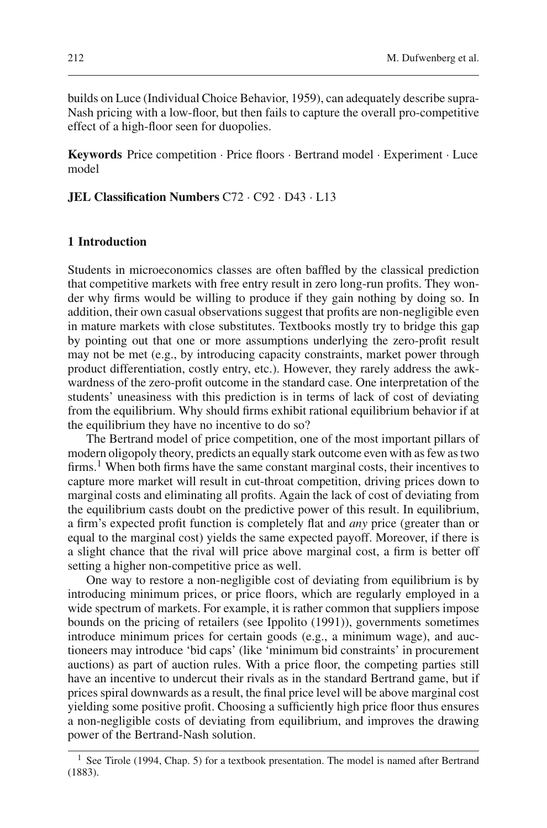builds on Luce (Individual Choice Behavior, 1959), can adequately describe supra-Nash pricing with a low-floor, but then fails to capture the overall pro-competitive effect of a high-floor seen for duopolies.

**Keywords** Price competition · Price floors · Bertrand model · Experiment · Luce model

## **JEL Classification Numbers** C72 · C92 · D43 · L13

### **1 Introduction**

Students in microeconomics classes are often baffled by the classical prediction that competitive markets with free entry result in zero long-run profits. They wonder why firms would be willing to produce if they gain nothing by doing so. In addition, their own casual observations suggest that profits are non-negligible even in mature markets with close substitutes. Textbooks mostly try to bridge this gap by pointing out that one or more assumptions underlying the zero-profit result may not be met (e.g., by introducing capacity constraints, market power through product differentiation, costly entry, etc.). However, they rarely address the awkwardness of the zero-profit outcome in the standard case. One interpretation of the students' uneasiness with this prediction is in terms of lack of cost of deviating from the equilibrium. Why should firms exhibit rational equilibrium behavior if at the equilibrium they have no incentive to do so?

The Bertrand model of price competition, one of the most important pillars of modern oligopoly theory, predicts an equally stark outcome even with as few as two firms.<sup>1</sup> When both firms have the same constant marginal costs, their incentives to capture more market will result in cut-throat competition, driving prices down to marginal costs and eliminating all profits. Again the lack of cost of deviating from the equilibrium casts doubt on the predictive power of this result. In equilibrium, a firm's expected profit function is completely flat and *any* price (greater than or equal to the marginal cost) yields the same expected payoff. Moreover, if there is a slight chance that the rival will price above marginal cost, a firm is better off setting a higher non-competitive price as well.

One way to restore a non-negligible cost of deviating from equilibrium is by introducing minimum prices, or price floors, which are regularly employed in a wide spectrum of markets. For example, it is rather common that suppliers impose bounds on the pricing of retailers (see Ippolito (1991)), governments sometimes introduce minimum prices for certain goods (e.g., a minimum wage), and auctioneers may introduce 'bid caps' (like 'minimum bid constraints' in procurement auctions) as part of auction rules. With a price floor, the competing parties still have an incentive to undercut their rivals as in the standard Bertrand game, but if prices spiral downwards as a result, the final price level will be above marginal cost yielding some positive profit. Choosing a sufficiently high price floor thus ensures a non-negligible costs of deviating from equilibrium, and improves the drawing power of the Bertrand-Nash solution.

<sup>&</sup>lt;sup>1</sup> See Tirole (1994, Chap. 5) for a textbook presentation. The model is named after Bertrand (1883).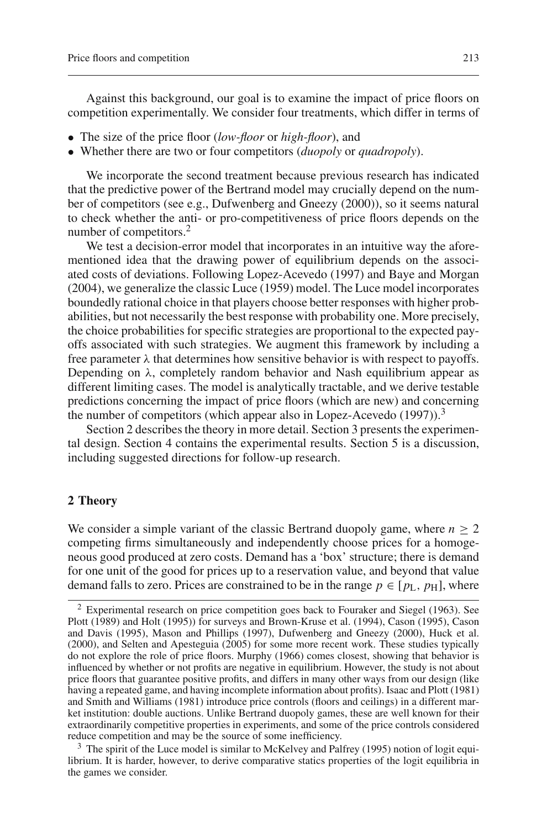Against this background, our goal is to examine the impact of price floors on competition experimentally. We consider four treatments, which differ in terms of

- The size of the price floor (*low-floor* or *high-floor*), and
- Whether there are two or four competitors (*duopoly* or *quadropoly*).

We incorporate the second treatment because previous research has indicated that the predictive power of the Bertrand model may crucially depend on the number of competitors (see e.g., Dufwenberg and Gneezy (2000)), so it seems natural to check whether the anti- or pro-competitiveness of price floors depends on the number of competitors.<sup>2</sup>

We test a decision-error model that incorporates in an intuitive way the aforementioned idea that the drawing power of equilibrium depends on the associated costs of deviations. Following Lopez-Acevedo (1997) and Baye and Morgan (2004), we generalize the classic Luce (1959) model. The Luce model incorporates boundedly rational choice in that players choose better responses with higher probabilities, but not necessarily the best response with probability one. More precisely, the choice probabilities for specific strategies are proportional to the expected payoffs associated with such strategies. We augment this framework by including a free parameter  $\lambda$  that determines how sensitive behavior is with respect to payoffs. Depending on  $\lambda$ , completely random behavior and Nash equilibrium appear as different limiting cases. The model is analytically tractable, and we derive testable predictions concerning the impact of price floors (which are new) and concerning the number of competitors (which appear also in Lopez-Acevedo  $(1997)$ ).<sup>3</sup>

Section 2 describes the theory in more detail. Section 3 presents the experimental design. Section 4 contains the experimental results. Section 5 is a discussion, including suggested directions for follow-up research.

#### **2 Theory**

We consider a simple variant of the classic Bertrand duopoly game, where  $n \geq 2$ competing firms simultaneously and independently choose prices for a homogeneous good produced at zero costs. Demand has a 'box' structure; there is demand for one unit of the good for prices up to a reservation value, and beyond that value demand falls to zero. Prices are constrained to be in the range  $p \in [p_L, p_H]$ , where

<sup>3</sup> The spirit of the Luce model is similar to McKelvey and Palfrey (1995) notion of logit equilibrium. It is harder, however, to derive comparative statics properties of the logit equilibria in the games we consider.

<sup>2</sup> Experimental research on price competition goes back to Fouraker and Siegel (1963). See Plott (1989) and Holt (1995)) for surveys and Brown-Kruse et al. (1994), Cason (1995), Cason and Davis (1995), Mason and Phillips (1997), Dufwenberg and Gneezy (2000), Huck et al. (2000), and Selten and Apesteguia (2005) for some more recent work. These studies typically do not explore the role of price floors. Murphy (1966) comes closest, showing that behavior is influenced by whether or not profits are negative in equilibrium. However, the study is not about price floors that guarantee positive profits, and differs in many other ways from our design (like having a repeated game, and having incomplete information about profits). Isaac and Plott (1981) and Smith and Williams (1981) introduce price controls (floors and ceilings) in a different market institution: double auctions. Unlike Bertrand duopoly games, these are well known for their extraordinarily competitive properties in experiments, and some of the price controls considered reduce competition and may be the source of some inefficiency.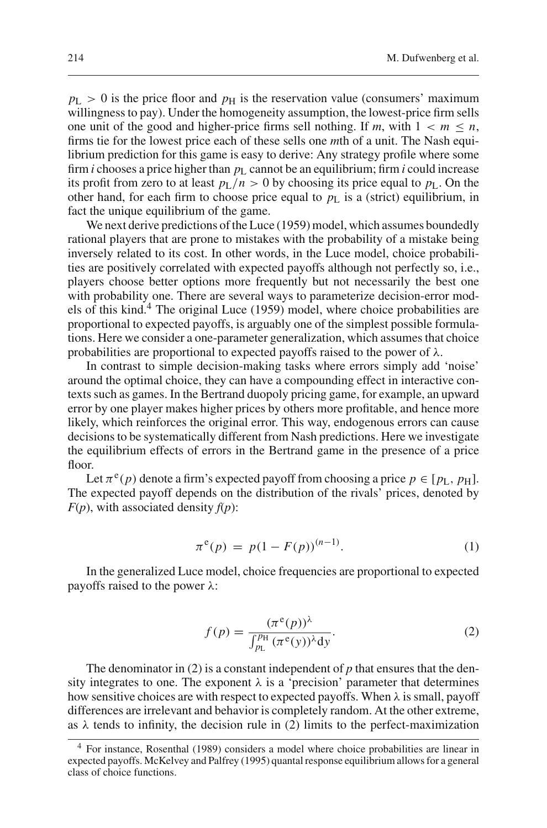$p_L > 0$  is the price floor and  $p_H$  is the reservation value (consumers' maximum willingness to pay). Under the homogeneity assumption, the lowest-price firm sells one unit of the good and higher-price firms sell nothing. If *m*, with  $1 < m \le n$ , firms tie for the lowest price each of these sells one *m*th of a unit. The Nash equilibrium prediction for this game is easy to derive: Any strategy profile where some firm *i* chooses a price higher than  $p<sub>L</sub>$  cannot be an equilibrium; firm *i* could increase its profit from zero to at least  $p_L/n > 0$  by choosing its price equal to  $p_L$ . On the other hand, for each firm to choose price equal to  $p_L$  is a (strict) equilibrium, in fact the unique equilibrium of the game.

We next derive predictions of the Luce (1959) model, which assumes boundedly rational players that are prone to mistakes with the probability of a mistake being inversely related to its cost. In other words, in the Luce model, choice probabilities are positively correlated with expected payoffs although not perfectly so, i.e., players choose better options more frequently but not necessarily the best one with probability one. There are several ways to parameterize decision-error models of this kind.4 The original Luce (1959) model, where choice probabilities are proportional to expected payoffs, is arguably one of the simplest possible formulations. Here we consider a one-parameter generalization, which assumes that choice probabilities are proportional to expected payoffs raised to the power of  $\lambda$ .

In contrast to simple decision-making tasks where errors simply add 'noise' around the optimal choice, they can have a compounding effect in interactive contexts such as games. In the Bertrand duopoly pricing game, for example, an upward error by one player makes higher prices by others more profitable, and hence more likely, which reinforces the original error. This way, endogenous errors can cause decisions to be systematically different from Nash predictions. Here we investigate the equilibrium effects of errors in the Bertrand game in the presence of a price floor.

Let  $\pi^{e}(p)$  denote a firm's expected payoff from choosing a price  $p \in [p_L, p_H]$ . The expected payoff depends on the distribution of the rivals' prices, denoted by  $F(p)$ , with associated density  $f(p)$ :

$$
\pi^e(p) = p(1 - F(p))^{(n-1)}.
$$
 (1)

In the generalized Luce model, choice frequencies are proportional to expected payoffs raised to the power λ:

$$
f(p) = \frac{(\pi^e(p))^\lambda}{\int_{p_\text{L}}^{p_\text{H}} (\pi^e(y))^\lambda \text{d}y}.
$$
 (2)

The denominator in (2) is a constant independent of *p* that ensures that the density integrates to one. The exponent  $\lambda$  is a 'precision' parameter that determines how sensitive choices are with respect to expected payoffs. When  $\lambda$  is small, payoff differences are irrelevant and behavior is completely random. At the other extreme, as  $\lambda$  tends to infinity, the decision rule in (2) limits to the perfect-maximization

<sup>4</sup> For instance, Rosenthal (1989) considers a model where choice probabilities are linear in expected payoffs. McKelvey and Palfrey (1995) quantal response equilibrium allows for a general class of choice functions.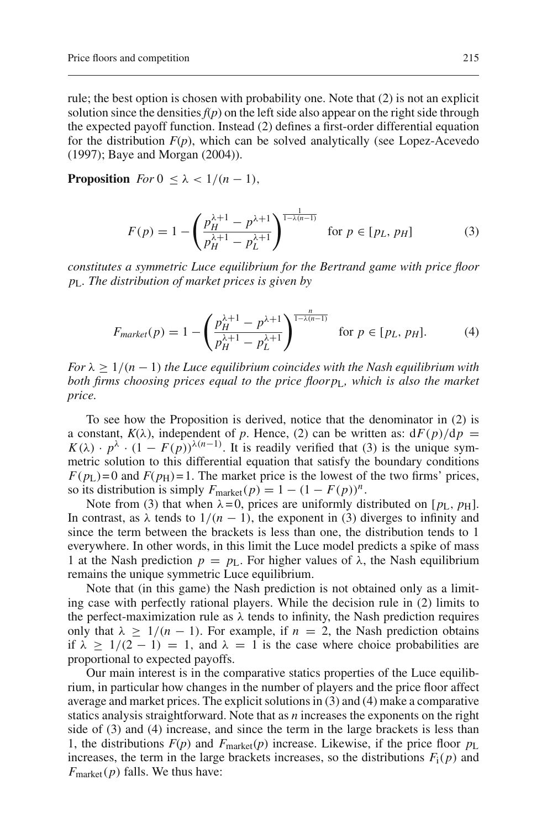rule; the best option is chosen with probability one. Note that (2) is not an explicit solution since the densities  $f(p)$  on the left side also appear on the right side through the expected payoff function. Instead (2) defines a first-order differential equation for the distribution  $F(p)$ , which can be solved analytically (see Lopez-Acevedo (1997); Baye and Morgan (2004)).

**Proposition** *For*  $0 \leq \lambda < 1/(n-1)$ ,

$$
F(p) = 1 - \left(\frac{p_H^{\lambda+1} - p^{\lambda+1}}{p_H^{\lambda+1} - p_L^{\lambda+1}}\right)^{\frac{1}{1-\lambda(n-1)}} \quad \text{for } p \in [p_L, p_H] \tag{3}
$$

*constitutes a symmetric Luce equilibrium for the Bertrand game with price floor p*L*. The distribution of market prices is given by*

$$
F_{market}(p) = 1 - \left(\frac{p_H^{\lambda+1} - p^{\lambda+1}}{p_H^{\lambda+1} - p_L^{\lambda+1}}\right)^{\frac{n}{1-\lambda(n-1)}} \quad \text{for } p \in [p_L, p_H]. \tag{4}
$$

*For*  $\lambda \geq 1/(n-1)$  *the Luce equilibrium coincides with the Nash equilibrium with both firms choosing prices equal to the price floorp*L*, which is also the market price.*

To see how the Proposition is derived, notice that the denominator in (2) is a constant,  $K(\lambda)$ , independent of *p*. Hence, (2) can be written as:  $dF(p)/dp =$  $K(\lambda) \cdot p^{\lambda} \cdot (1 - F(p))^{\lambda(n-1)}$ . It is readily verified that (3) is the unique symmetric solution to this differential equation that satisfy the boundary conditions  $F(p_L) = 0$  and  $F(p_H) = 1$ . The market price is the lowest of the two firms' prices, so its distribution is simply  $F_{\text{market}}(p) = 1 - (1 - F(p))^n$ .

Note from (3) that when  $\lambda = 0$ , prices are uniformly distributed on  $[p_L, p_H]$ . In contrast, as  $\lambda$  tends to  $1/(n - 1)$ , the exponent in (3) diverges to infinity and since the term between the brackets is less than one, the distribution tends to 1 everywhere. In other words, in this limit the Luce model predicts a spike of mass 1 at the Nash prediction  $p = p_L$ . For higher values of  $\lambda$ , the Nash equilibrium remains the unique symmetric Luce equilibrium.

Note that (in this game) the Nash prediction is not obtained only as a limiting case with perfectly rational players. While the decision rule in (2) limits to the perfect-maximization rule as  $\lambda$  tends to infinity, the Nash prediction requires only that  $\lambda \geq 1/(n-1)$ . For example, if  $n = 2$ , the Nash prediction obtains if  $\lambda \geq 1/(2-1) = 1$ , and  $\lambda = 1$  is the case where choice probabilities are proportional to expected payoffs.

Our main interest is in the comparative statics properties of the Luce equilibrium, in particular how changes in the number of players and the price floor affect average and market prices. The explicit solutions in (3) and (4) make a comparative statics analysis straightforward. Note that as *n* increases the exponents on the right side of (3) and (4) increase, and since the term in the large brackets is less than 1, the distributions  $F(p)$  and  $F_{\text{market}}(p)$  increase. Likewise, if the price floor  $p_{\text{L}}$ increases, the term in the large brackets increases, so the distributions  $F_i(p)$  and *F*<sub>market</sub>(*p*) falls. We thus have: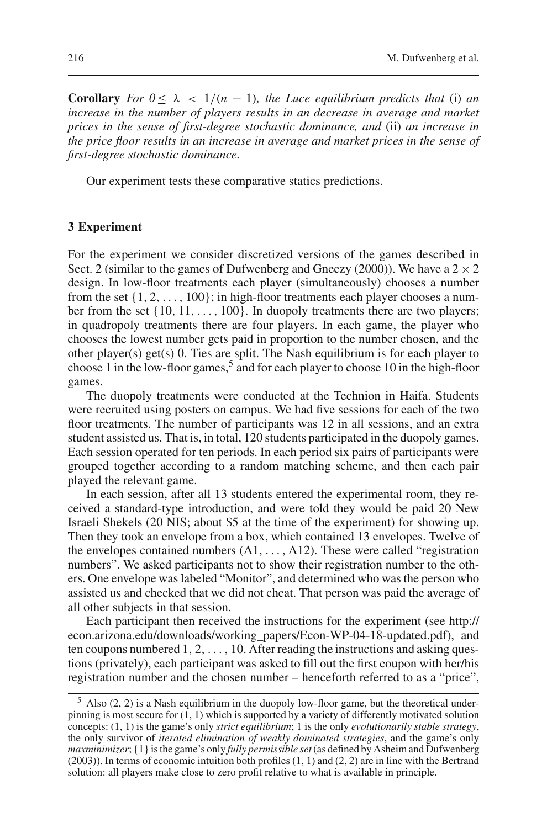**Corollary** *For*  $0 \le \lambda < 1/(n - 1)$ *, the Luce equilibrium predicts that* (i) *an increase in the number of players results in an decrease in average and market prices in the sense of first-degree stochastic dominance, and* (ii) *an increase in the price floor results in an increase in average and market prices in the sense of first-degree stochastic dominance.*

Our experiment tests these comparative statics predictions.

#### **3 Experiment**

For the experiment we consider discretized versions of the games described in Sect. 2 (similar to the games of Dufwenberg and Gneezy (2000)). We have a  $2 \times 2$ design. In low-floor treatments each player (simultaneously) chooses a number from the set  $\{1, 2, \ldots, 100\}$ ; in high-floor treatments each player chooses a number from the set  $\{10, 11, \ldots, 100\}$ . In duopoly treatments there are two players; in quadropoly treatments there are four players. In each game, the player who chooses the lowest number gets paid in proportion to the number chosen, and the other player(s) get(s) 0. Ties are split. The Nash equilibrium is for each player to choose 1 in the low-floor games,<sup>5</sup> and for each player to choose 10 in the high-floor games.

The duopoly treatments were conducted at the Technion in Haifa. Students were recruited using posters on campus. We had five sessions for each of the two floor treatments. The number of participants was 12 in all sessions, and an extra student assisted us. That is, in total, 120 students participated in the duopoly games. Each session operated for ten periods. In each period six pairs of participants were grouped together according to a random matching scheme, and then each pair played the relevant game.

In each session, after all 13 students entered the experimental room, they received a standard-type introduction, and were told they would be paid 20 New Israeli Shekels (20 NIS; about \$5 at the time of the experiment) for showing up. Then they took an envelope from a box, which contained 13 envelopes. Twelve of the envelopes contained numbers  $(A1, \ldots, A12)$ . These were called "registration" numbers". We asked participants not to show their registration number to the others. One envelope was labeled "Monitor", and determined who was the person who assisted us and checked that we did not cheat. That person was paid the average of all other subjects in that session.

Each participant then received the instructions for the experiment (see http:// econ.arizona.edu/downloads/working\_papers/Econ-WP-04-18-updated.pdf), and ten coupons numbered  $1, 2, \ldots, 10$ . After reading the instructions and asking questions (privately), each participant was asked to fill out the first coupon with her/his registration number and the chosen number – henceforth referred to as a "price",

 $5$  Also (2, 2) is a Nash equilibrium in the duopoly low-floor game, but the theoretical underpinning is most secure for  $(1, 1)$  which is supported by a variety of differently motivated solution concepts: (1, 1) is the game's only *strict equilibrium*; 1 is the only *evolutionarily stable strategy*, the only survivor of *iterated elimination of weakly dominated strategies*, and the game's only *maxminimizer*; {1} is the game's only *fully permissible set*(as defined by Asheim and Dufwenberg (2003)). In terms of economic intuition both profiles (1, 1) and (2, 2) are in line with the Bertrand solution: all players make close to zero profit relative to what is available in principle.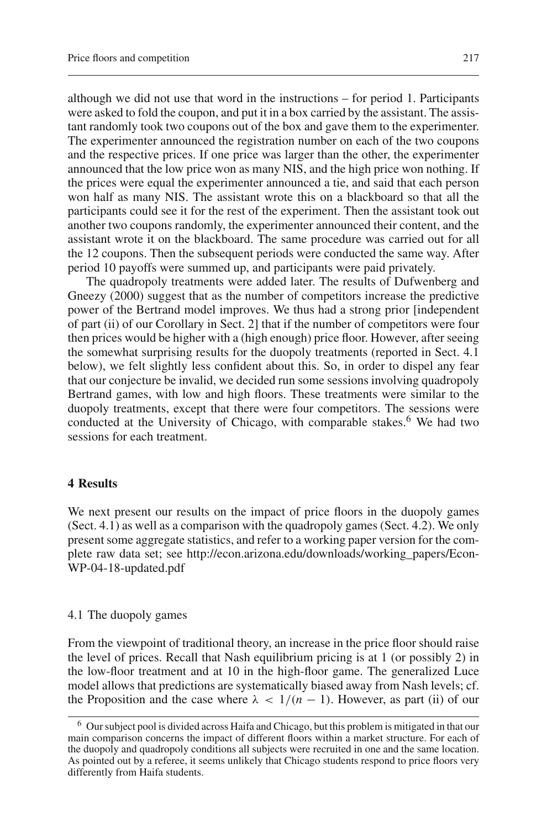although we did not use that word in the instructions – for period 1. Participants were asked to fold the coupon, and put it in a box carried by the assistant. The assistant randomly took two coupons out of the box and gave them to the experimenter. The experimenter announced the registration number on each of the two coupons and the respective prices. If one price was larger than the other, the experimenter announced that the low price won as many NIS, and the high price won nothing. If the prices were equal the experimenter announced a tie, and said that each person won half as many NIS. The assistant wrote this on a blackboard so that all the participants could see it for the rest of the experiment. Then the assistant took out another two coupons randomly, the experimenter announced their content, and the assistant wrote it on the blackboard. The same procedure was carried out for all the 12 coupons. Then the subsequent periods were conducted the same way. After period 10 payoffs were summed up, and participants were paid privately.

The quadropoly treatments were added later. The results of Dufwenberg and Gneezy (2000) suggest that as the number of competitors increase the predictive power of the Bertrand model improves. We thus had a strong prior [independent of part (ii) of our Corollary in Sect. 2] that if the number of competitors were four then prices would be higher with a (high enough) price floor. However, after seeing the somewhat surprising results for the duopoly treatments (reported in Sect. 4.1 below), we felt slightly less confident about this. So, in order to dispel any fear that our conjecture be invalid, we decided run some sessions involving quadropoly Bertrand games, with low and high floors. These treatments were similar to the duopoly treatments, except that there were four competitors. The sessions were conducted at the University of Chicago, with comparable stakes.<sup>6</sup> We had two sessions for each treatment.

#### **4 Results**

We next present our results on the impact of price floors in the duopoly games (Sect. 4.1) as well as a comparison with the quadropoly games (Sect. 4.2). We only present some aggregate statistics, and refer to a working paper version for the complete raw data set; see http://econ.arizona.edu/downloads/working\_papers/Econ-WP-04-18-updated.pdf

#### 4.1 The duopoly games

From the viewpoint of traditional theory, an increase in the price floor should raise the level of prices. Recall that Nash equilibrium pricing is at 1 (or possibly 2) in the low-floor treatment and at 10 in the high-floor game. The generalized Luce model allows that predictions are systematically biased away from Nash levels; cf. the Proposition and the case where  $\lambda < 1/(n - 1)$ . However, as part (ii) of our

<sup>&</sup>lt;sup>6</sup> Our subject pool is divided across Haifa and Chicago, but this problem is mitigated in that our main comparison concerns the impact of different floors within a market structure. For each of the duopoly and quadropoly conditions all subjects were recruited in one and the same location. As pointed out by a referee, it seems unlikely that Chicago students respond to price floors very differently from Haifa students.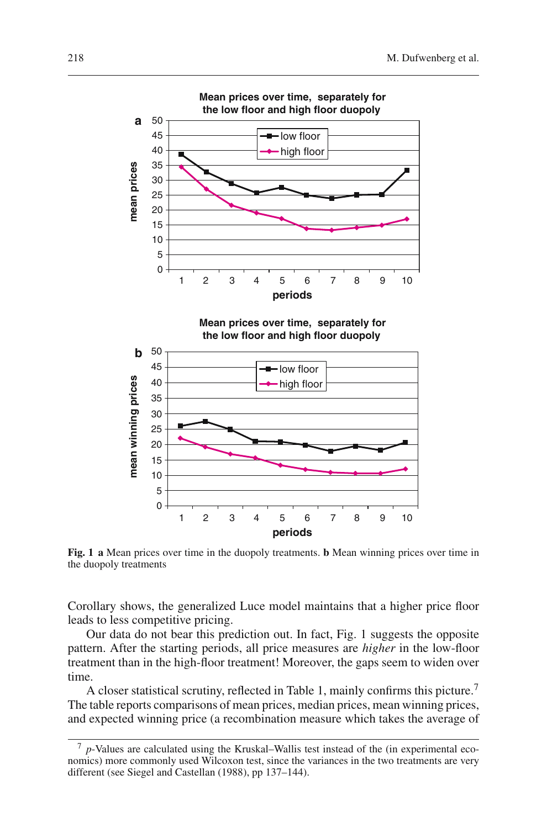

**Fig. 1 a** Mean prices over time in the duopoly treatments. **b** Mean winning prices over time in the duopoly treatments

Corollary shows, the generalized Luce model maintains that a higher price floor leads to less competitive pricing.

Our data do not bear this prediction out. In fact, Fig. 1 suggests the opposite pattern. After the starting periods, all price measures are *higher* in the low-floor treatment than in the high-floor treatment! Moreover, the gaps seem to widen over time.

A closer statistical scrutiny, reflected in Table 1, mainly confirms this picture.<sup>7</sup> The table reports comparisons of mean prices, median prices, mean winning prices, and expected winning price (a recombination measure which takes the average of

<sup>7</sup> *p*-Values are calculated using the Kruskal–Wallis test instead of the (in experimental economics) more commonly used Wilcoxon test, since the variances in the two treatments are very different (see Siegel and Castellan (1988), pp 137–144).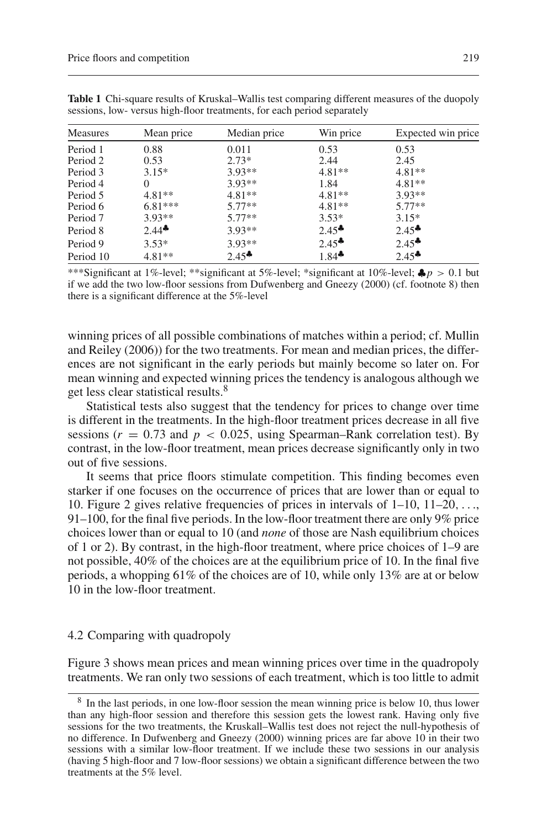| <b>Measures</b> | Mean price          | Median price | Win price           | Expected win price  |
|-----------------|---------------------|--------------|---------------------|---------------------|
| Period 1        | 0.88                | 0.011        | 0.53                | 0.53                |
| Period 2        | 0.53                | $2.73*$      | 2.44                | 2.45                |
| Period 3        | $3.15*$             | $3.93**$     | $4.81**$            | $4.81**$            |
| Period 4        | $\Omega$            | $3.93**$     | 1.84                | $4.81**$            |
| Period 5        | $4.81**$            | $4.81**$     | $4.81**$            | $3.93**$            |
| Period 6        | $6.81***$           | $5.77**$     | $4.81**$            | $5.77**$            |
| Period 7        | $3.93**$            | $5.77**$     | $3.53*$             | $3.15*$             |
| Period 8        | $2.44$ <sup>*</sup> | $3.93**$     | $2.45$ <sup>*</sup> | $2.45$ <sup>*</sup> |
| Period 9        | $3.53*$             | $3.93**$     | $2.45$ <sup>*</sup> | $2.45$ <sup>*</sup> |
| Period 10       | $4.81**$            | $2.45^*$     | $1.84$ <sup>*</sup> | $2.45$ <sup>*</sup> |

**Table 1** Chi-square results of Kruskal–Wallis test comparing different measures of the duopoly sessions, low- versus high-floor treatments, for each period separately

\*\*\*Significant at 1%-level; \*\*significant at 5%-level; \*significant at 10%-level; ♣*p* > 0.1 but if we add the two low-floor sessions from Dufwenberg and Gneezy (2000) (cf. footnote 8) then there is a significant difference at the 5%-level

winning prices of all possible combinations of matches within a period; cf. Mullin and Reiley (2006)) for the two treatments. For mean and median prices, the differences are not significant in the early periods but mainly become so later on. For mean winning and expected winning prices the tendency is analogous although we get less clear statistical results.<sup>8</sup>

Statistical tests also suggest that the tendency for prices to change over time is different in the treatments. In the high-floor treatment prices decrease in all five sessions ( $r = 0.73$  and  $p < 0.025$ , using Spearman–Rank correlation test). By contrast, in the low-floor treatment, mean prices decrease significantly only in two out of five sessions.

It seems that price floors stimulate competition. This finding becomes even starker if one focuses on the occurrence of prices that are lower than or equal to 10. Figure 2 gives relative frequencies of prices in intervals of 1–10, 11–20,..., 91–100, for the final five periods. In the low-floor treatment there are only 9% price choices lower than or equal to 10 (and *none* of those are Nash equilibrium choices of 1 or 2). By contrast, in the high-floor treatment, where price choices of 1–9 are not possible, 40% of the choices are at the equilibrium price of 10. In the final five periods, a whopping 61% of the choices are of 10, while only 13% are at or below 10 in the low-floor treatment.

#### 4.2 Comparing with quadropoly

Figure 3 shows mean prices and mean winning prices over time in the quadropoly treatments. We ran only two sessions of each treatment, which is too little to admit

<sup>&</sup>lt;sup>8</sup> In the last periods, in one low-floor session the mean winning price is below 10, thus lower than any high-floor session and therefore this session gets the lowest rank. Having only five sessions for the two treatments, the Kruskall–Wallis test does not reject the null-hypothesis of no difference. In Dufwenberg and Gneezy (2000) winning prices are far above 10 in their two sessions with a similar low-floor treatment. If we include these two sessions in our analysis (having 5 high-floor and 7 low-floor sessions) we obtain a significant difference between the two treatments at the 5% level.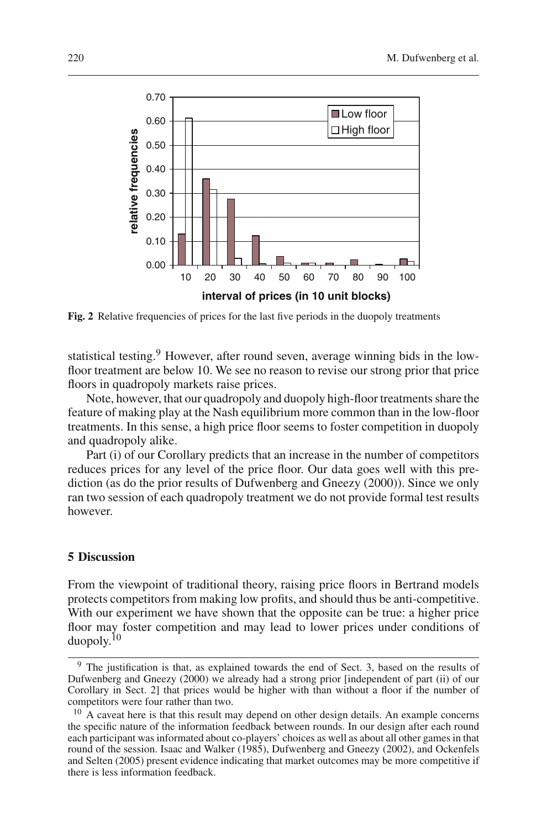

**Fig. 2** Relative frequencies of prices for the last five periods in the duopoly treatments

statistical testing.<sup>9</sup> However, after round seven, average winning bids in the lowfloor treatment are below 10. We see no reason to revise our strong prior that price floors in quadropoly markets raise prices.

Note, however, that our quadropoly and duopoly high-floor treatments share the feature of making play at the Nash equilibrium more common than in the low-floor treatments. In this sense, a high price floor seems to foster competition in duopoly and quadropoly alike.

Part (i) of our Corollary predicts that an increase in the number of competitors reduces prices for any level of the price floor. Our data goes well with this prediction (as do the prior results of Dufwenberg and Gneezy (2000)). Since we only ran two session of each quadropoly treatment we do not provide formal test results however.

## **5 Discussion**

From the viewpoint of traditional theory, raising price floors in Bertrand models protects competitors from making low profits, and should thus be anti-competitive. With our experiment we have shown that the opposite can be true: a higher price floor may foster competition and may lead to lower prices under conditions of duopoly.10

<sup>&</sup>lt;sup>9</sup> The justification is that, as explained towards the end of Sect. 3, based on the results of Dufwenberg and Gneezy (2000) we already had a strong prior [independent of part (ii) of our Corollary in Sect. 2] that prices would be higher with than without a floor if the number of competitors were four rather than two.

<sup>&</sup>lt;sup>10</sup> A caveat here is that this result may depend on other design details. An example concerns the specific nature of the information feedback between rounds. In our design after each round each participant was informated about co-players' choices as well as about all other games in that round of the session. Isaac and Walker (1985), Dufwenberg and Gneezy (2002), and Ockenfels and Selten (2005) present evidence indicating that market outcomes may be more competitive if there is less information feedback.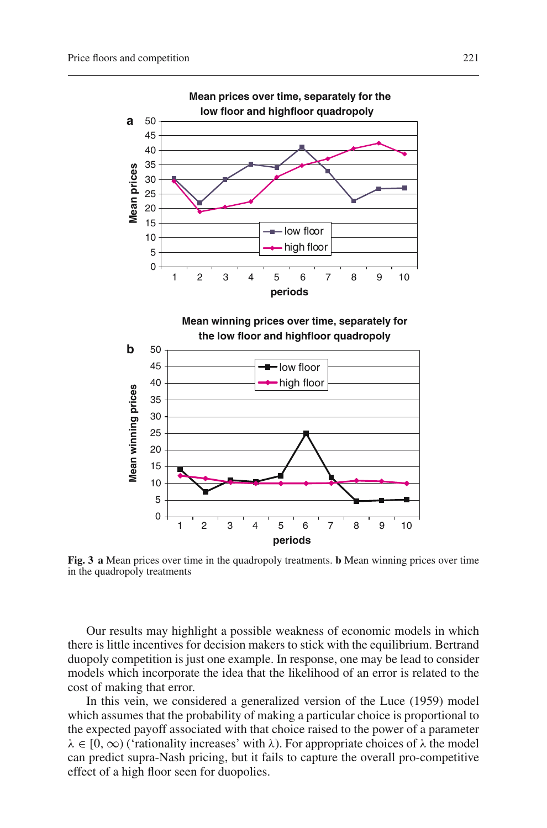

**Fig. 3 a** Mean prices over time in the quadropoly treatments. **b** Mean winning prices over time in the quadropoly treatments

Our results may highlight a possible weakness of economic models in which there is little incentives for decision makers to stick with the equilibrium. Bertrand duopoly competition is just one example. In response, one may be lead to consider models which incorporate the idea that the likelihood of an error is related to the cost of making that error.

In this vein, we considered a generalized version of the Luce (1959) model which assumes that the probability of making a particular choice is proportional to the expected payoff associated with that choice raised to the power of a parameter  $\lambda \in [0, \infty)$  ('rationality increases' with  $\lambda$ ). For appropriate choices of  $\lambda$  the model can predict supra-Nash pricing, but it fails to capture the overall pro-competitive effect of a high floor seen for duopolies.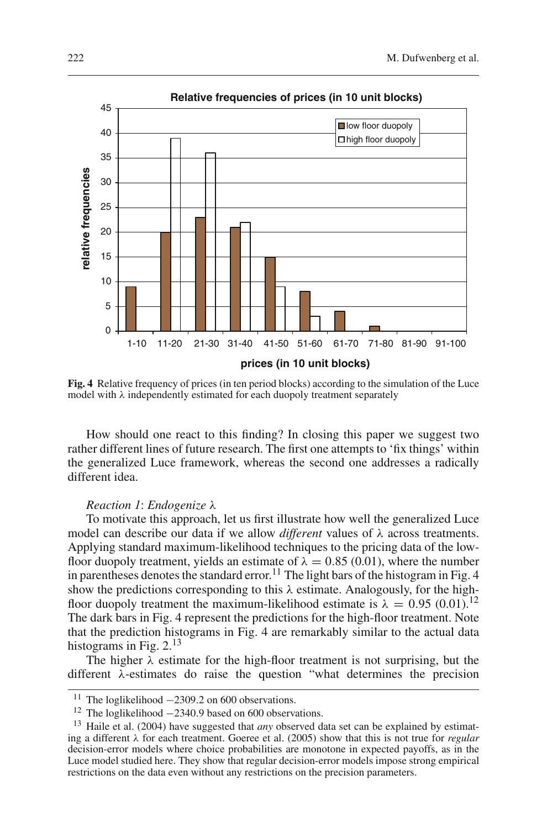

**Fig. 4** Relative frequency of prices (in ten period blocks) according to the simulation of the Luce model with  $\lambda$  independently estimated for each duopoly treatment separately

How should one react to this finding? In closing this paper we suggest two rather different lines of future research. The first one attempts to 'fix things' within the generalized Luce framework, whereas the second one addresses a radically different idea.

#### *Reaction 1*: *Endogenize* λ

To motivate this approach, let us first illustrate how well the generalized Luce model can describe our data if we allow *different* values of λ across treatments. Applying standard maximum-likelihood techniques to the pricing data of the lowfloor duopoly treatment, yields an estimate of  $\lambda = 0.85$  (0.01), where the number in parentheses denotes the standard error.<sup>11</sup> The light bars of the histogram in Fig. 4 show the predictions corresponding to this  $\lambda$  estimate. Analogously, for the highfloor duopoly treatment the maximum-likelihood estimate is  $\lambda = 0.95$  (0.01).<sup>12</sup> The dark bars in Fig. 4 represent the predictions for the high-floor treatment. Note that the prediction histograms in Fig. 4 are remarkably similar to the actual data histograms in Fig.  $2.^{13}$ 

The higher  $\lambda$  estimate for the high-floor treatment is not surprising, but the different λ-estimates do raise the question "what determines the precision

<sup>&</sup>lt;sup>11</sup> The loglikelihood −2309.2 on 600 observations.<br><sup>12</sup> The loglikelihood −2340.9 based on 600 observations.

<sup>&</sup>lt;sup>13</sup> Haile et al. (2004) have suggested that *any* observed data set can be explained by estimating a different λ for each treatment. Goeree et al. (2005) show that this is not true for *regular* decision-error models where choice probabilities are monotone in expected payoffs, as in the Luce model studied here. They show that regular decision-error models impose strong empirical restrictions on the data even without any restrictions on the precision parameters.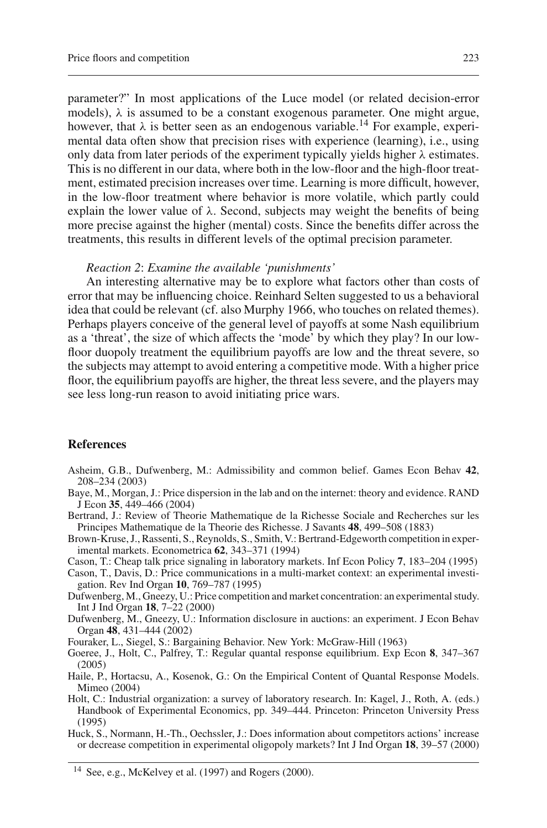parameter?" In most applications of the Luce model (or related decision-error models),  $\lambda$  is assumed to be a constant exogenous parameter. One might argue, however, that  $\lambda$  is better seen as an endogenous variable.<sup>14</sup> For example, experimental data often show that precision rises with experience (learning), i.e., using only data from later periods of the experiment typically yields higher  $\lambda$  estimates. This is no different in our data, where both in the low-floor and the high-floor treatment, estimated precision increases over time. Learning is more difficult, however, in the low-floor treatment where behavior is more volatile, which partly could explain the lower value of  $\lambda$ . Second, subjects may weight the benefits of being more precise against the higher (mental) costs. Since the benefits differ across the treatments, this results in different levels of the optimal precision parameter.

#### *Reaction 2*: *Examine the available 'punishments'*

An interesting alternative may be to explore what factors other than costs of error that may be influencing choice. Reinhard Selten suggested to us a behavioral idea that could be relevant (cf. also Murphy 1966, who touches on related themes). Perhaps players conceive of the general level of payoffs at some Nash equilibrium as a 'threat', the size of which affects the 'mode' by which they play? In our lowfloor duopoly treatment the equilibrium payoffs are low and the threat severe, so the subjects may attempt to avoid entering a competitive mode. With a higher price floor, the equilibrium payoffs are higher, the threat less severe, and the players may see less long-run reason to avoid initiating price wars.

#### **References**

- Asheim, G.B., Dufwenberg, M.: Admissibility and common belief. Games Econ Behav **42**, 208–234 (2003)
- Baye, M., Morgan, J.: Price dispersion in the lab and on the internet: theory and evidence. RAND J Econ **35**, 449–466 (2004)
- Bertrand, J.: Review of Theorie Mathematique de la Richesse Sociale and Recherches sur les Principes Mathematique de la Theorie des Richesse. J Savants **48**, 499–508 (1883)
- Brown-Kruse, J., Rassenti, S., Reynolds, S., Smith, V.: Bertrand-Edgeworth competition in experimental markets. Econometrica **62**, 343–371 (1994)
- Cason, T.: Cheap talk price signaling in laboratory markets. Inf Econ Policy **7**, 183–204 (1995)
- Cason, T., Davis, D.: Price communications in a multi-market context: an experimental investigation. Rev Ind Organ **10**, 769–787 (1995)
- Dufwenberg, M., Gneezy, U.: Price competition and market concentration: an experimental study. Int J Ind Organ **18**, 7–22 (2000)
- Dufwenberg, M., Gneezy, U.: Information disclosure in auctions: an experiment. J Econ Behav Organ **48**, 431–444 (2002)
- Fouraker, L., Siegel, S.: Bargaining Behavior. New York: McGraw-Hill (1963)
- Goeree, J., Holt, C., Palfrey, T.: Regular quantal response equilibrium. Exp Econ **8**, 347–367 (2005)
- Haile, P., Hortacsu, A., Kosenok, G.: On the Empirical Content of Quantal Response Models. Mimeo (2004)
- Holt, C.: Industrial organization: a survey of laboratory research. In: Kagel, J., Roth, A. (eds.) Handbook of Experimental Economics, pp. 349–444. Princeton: Princeton University Press (1995)
- Huck, S., Normann, H.-Th., Oechssler, J.: Does information about competitors actions' increase or decrease competition in experimental oligopoly markets? Int J Ind Organ **18**, 39–57 (2000)